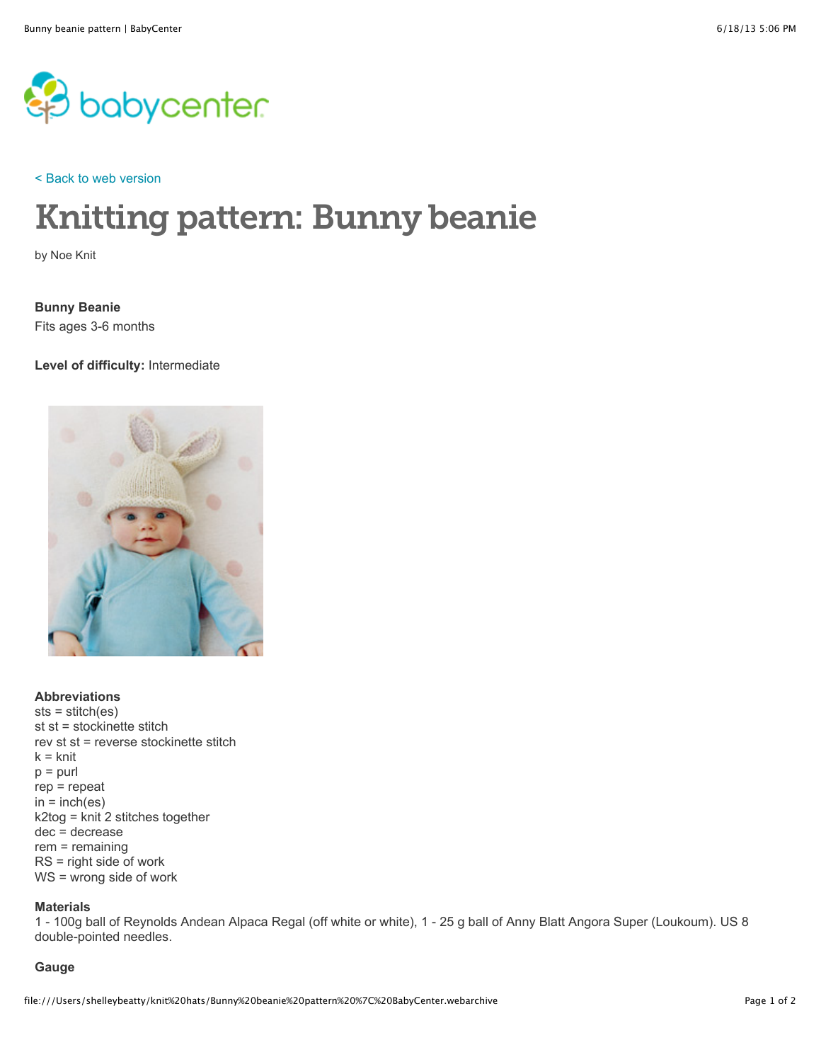

[< Back to web version](http://www.babycenter.com/0_knitting-pattern-bunny-beanie_1445260.bc)

# Knitting pattern: Bunny beanie

by Noe Knit

**Bunny Beanie** Fits ages 3-6 months

**Level of difficulty:** Intermediate



**Abbreviations** sts = stitch(es) st st = stockinette stitch rev st st = reverse stockinette stitch  $k =$  knit  $p =$  purl rep = repeat  $in = inch(es)$ k2tog = knit 2 stitches together dec = decrease rem = remaining RS = right side of work WS = wrong side of work

## **Materials**

1 - 100g ball of Reynolds Andean Alpaca Regal (off white or white), 1 - 25 g ball of Anny Blatt Angora Super (Loukoum). US 8 double-pointed needles.

## **Gauge**